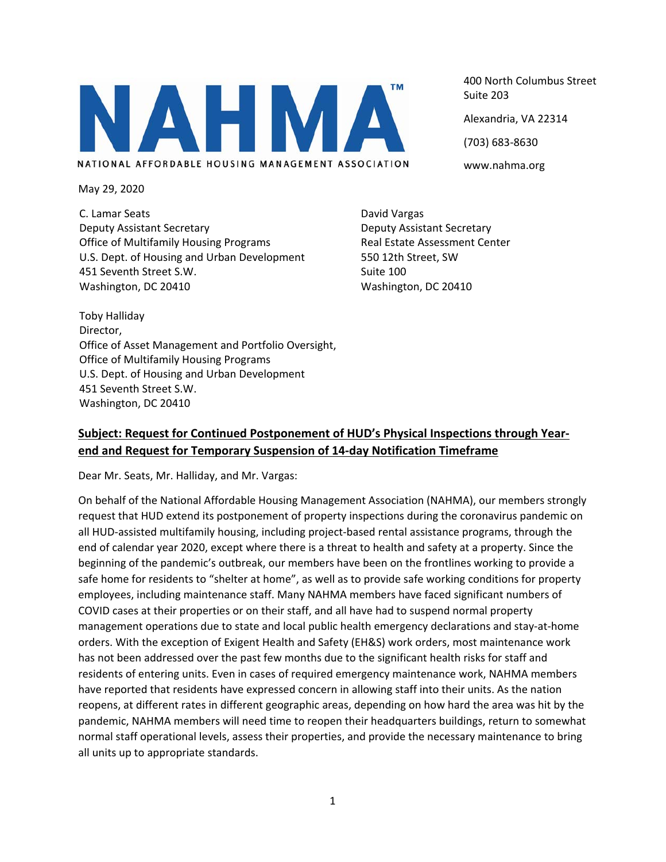400 North Columbus Street Suite 203 Alexandria, VA 22314 (703) 683‐8630 www.nahma.org

May 29, 2020

C. Lamar Seats Deputy Assistant Secretary Office of Multifamily Housing Programs U.S. Dept. of Housing and Urban Development 451 Seventh Street S.W. Washington, DC 20410

David Vargas Deputy Assistant Secretary Real Estate Assessment Center 550 12th Street, SW Suite 100 Washington, DC 20410

Toby Halliday Director, Office of Asset Management and Portfolio Oversight, Office of Multifamily Housing Programs U.S. Dept. of Housing and Urban Development 451 Seventh Street S.W. Washington, DC 20410

## **Subject: Request for Continued Postponement of HUD's Physical Inspections through Year‐ end and Request for Temporary Suspension of 14‐day Notification Timeframe**

Dear Mr. Seats, Mr. Halliday, and Mr. Vargas:

On behalf of the National Affordable Housing Management Association (NAHMA), our members strongly request that HUD extend its postponement of property inspections during the coronavirus pandemic on all HUD‐assisted multifamily housing, including project‐based rental assistance programs, through the end of calendar year 2020, except where there is a threat to health and safety at a property. Since the beginning of the pandemic's outbreak, our members have been on the frontlines working to provide a safe home for residents to "shelter at home", as well as to provide safe working conditions for property employees, including maintenance staff. Many NAHMA members have faced significant numbers of COVID cases at their properties or on their staff, and all have had to suspend normal property management operations due to state and local public health emergency declarations and stay‐at‐home orders. With the exception of Exigent Health and Safety (EH&S) work orders, most maintenance work has not been addressed over the past few months due to the significant health risks for staff and residents of entering units. Even in cases of required emergency maintenance work, NAHMA members have reported that residents have expressed concern in allowing staff into their units. As the nation reopens, at different rates in different geographic areas, depending on how hard the area was hit by the pandemic, NAHMA members will need time to reopen their headquarters buildings, return to somewhat normal staff operational levels, assess their properties, and provide the necessary maintenance to bring all units up to appropriate standards.

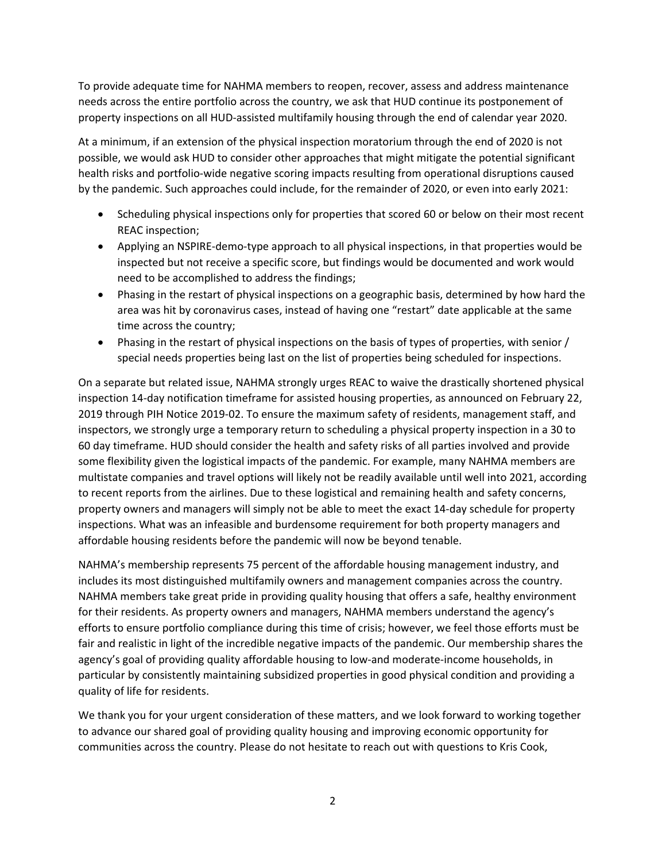To provide adequate time for NAHMA members to reopen, recover, assess and address maintenance needs across the entire portfolio across the country, we ask that HUD continue its postponement of property inspections on all HUD‐assisted multifamily housing through the end of calendar year 2020.

At a minimum, if an extension of the physical inspection moratorium through the end of 2020 is not possible, we would ask HUD to consider other approaches that might mitigate the potential significant health risks and portfolio‐wide negative scoring impacts resulting from operational disruptions caused by the pandemic. Such approaches could include, for the remainder of 2020, or even into early 2021:

- Scheduling physical inspections only for properties that scored 60 or below on their most recent REAC inspection;
- Applying an NSPIRE-demo-type approach to all physical inspections, in that properties would be inspected but not receive a specific score, but findings would be documented and work would need to be accomplished to address the findings;
- Phasing in the restart of physical inspections on a geographic basis, determined by how hard the area was hit by coronavirus cases, instead of having one "restart" date applicable at the same time across the country;
- Phasing in the restart of physical inspections on the basis of types of properties, with senior / special needs properties being last on the list of properties being scheduled for inspections.

On a separate but related issue, NAHMA strongly urges REAC to waive the drastically shortened physical inspection 14‐day notification timeframe for assisted housing properties, as announced on February 22, 2019 through PIH Notice 2019‐02. To ensure the maximum safety of residents, management staff, and inspectors, we strongly urge a temporary return to scheduling a physical property inspection in a 30 to 60 day timeframe. HUD should consider the health and safety risks of all parties involved and provide some flexibility given the logistical impacts of the pandemic. For example, many NAHMA members are multistate companies and travel options will likely not be readily available until well into 2021, according to recent reports from the airlines. Due to these logistical and remaining health and safety concerns, property owners and managers will simply not be able to meet the exact 14‐day schedule for property inspections. What was an infeasible and burdensome requirement for both property managers and affordable housing residents before the pandemic will now be beyond tenable.

NAHMA's membership represents 75 percent of the affordable housing management industry, and includes its most distinguished multifamily owners and management companies across the country. NAHMA members take great pride in providing quality housing that offers a safe, healthy environment for their residents. As property owners and managers, NAHMA members understand the agency's efforts to ensure portfolio compliance during this time of crisis; however, we feel those efforts must be fair and realistic in light of the incredible negative impacts of the pandemic. Our membership shares the agency's goal of providing quality affordable housing to low‐and moderate‐income households, in particular by consistently maintaining subsidized properties in good physical condition and providing a quality of life for residents.

We thank you for your urgent consideration of these matters, and we look forward to working together to advance our shared goal of providing quality housing and improving economic opportunity for communities across the country. Please do not hesitate to reach out with questions to Kris Cook,